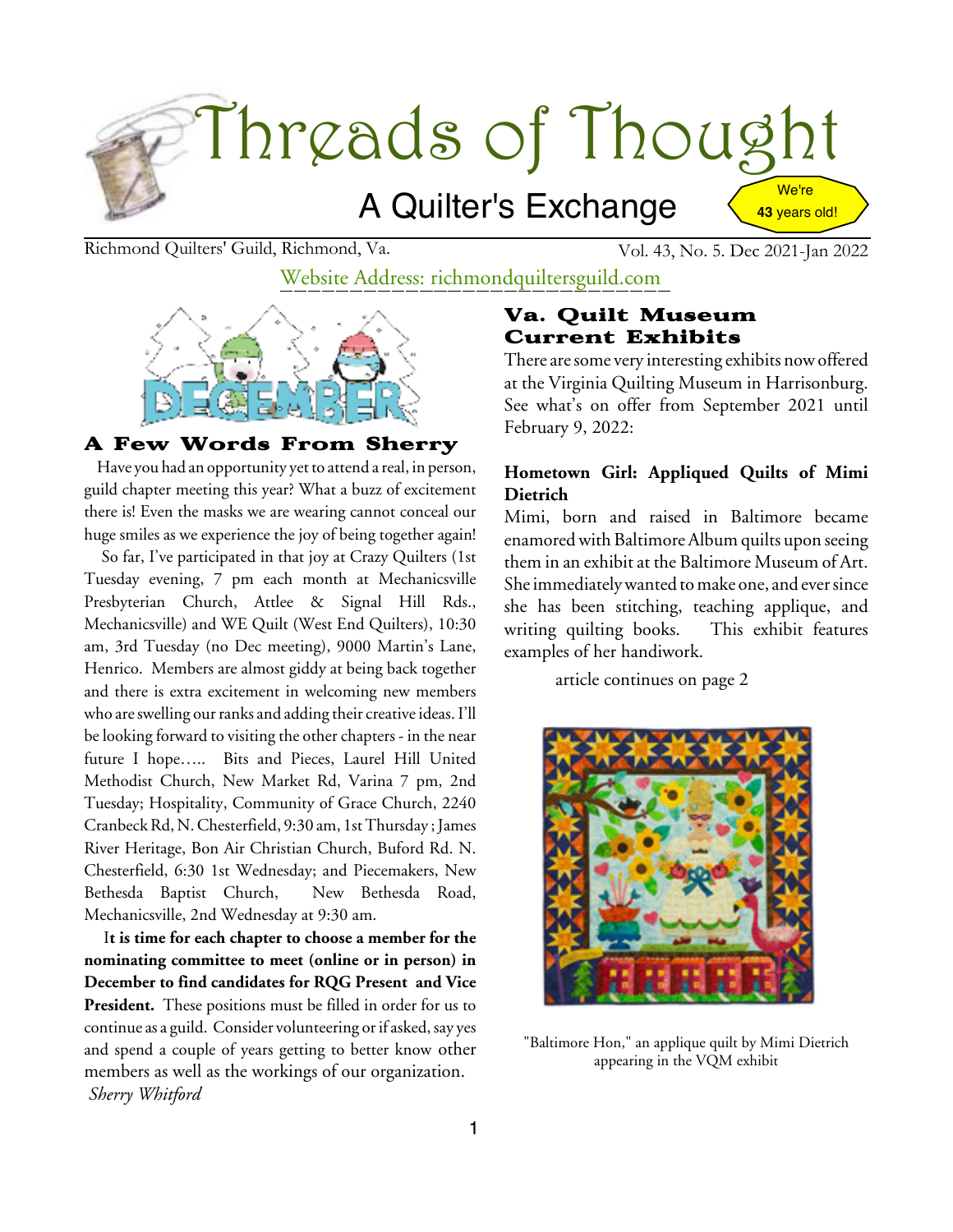

Richmond Quilters' Guild, Richmond, Va. Vol. 43, No. 5. Dec 2021-Jan 2022

Website Address: richmondquiltersguild.com



#### A Few Words From Sherry

Have you had an opportunity yet to attend a real, in person, guild chapter meeting this year? What a buzz of excitement there is! Even the masks we are wearing cannot conceal our huge smiles as we experience the joy of being together again!

So far, I've participated in that joy at Crazy Quilters (1st Tuesday evening, 7 pm each month at Mechanicsville Presbyterian Church, Attlee & Signal Hill Rds., Mechanicsville) and WE Quilt (West End Quilters), 10:30 am, 3rd Tuesday (no Dec meeting), 9000 Martin's Lane, Henrico. Members are almost giddy at being back together and there is extra excitement in welcoming new members who are swelling our ranks and adding their creative ideas. I'll be looking forward to visiting the other chapters - in the near future I hope….. Bits and Pieces, Laurel Hill United Methodist Church, New Market Rd, Varina 7 pm, 2nd Tuesday; Hospitality, Community of Grace Church, 2240 Cranbeck Rd, N. Chesterfield, 9:30 am, 1st Thursday; James River Heritage, Bon Air Christian Church, Buford Rd. N. Chesterfield, 6:30 1st Wednesday; and Piecemakers, New Bethesda Baptist Church, New Bethesda Road, Mechanicsville, 2nd Wednesday at 9:30 am.

I**t is time for each chapter to choose a member for the nominating committee to meet (online or in person) in December to find candidates for RQG Present and Vice President.** These positions must be filled in order for us to continue as a guild. Consider volunteering or if asked, say yes and spend a couple of years getting to better know other members as well as the workings of our organization. *Sherry Whitford*

### Va. Quilt Museum Current Exhibits

There are some very interesting exhibits now offered at the Virginia Quilting Museum in Harrisonburg. See what's on offer from September 2021 until February 9, 2022:

### **Hometown Girl: Appliqued Quilts of Mimi Dietrich**

Mimi, born and raised in Baltimore became enamored with Baltimore Album quilts upon seeing them in an exhibit at the Baltimore Museum of Art. She immediately wanted to make one, and ever since she has been stitching, teaching applique, and writing quilting books. This exhibit features examples of her handiwork.

article continues on page 2



"Baltimore Hon," an applique quilt by Mimi Dietrich appearing in the VQM exhibit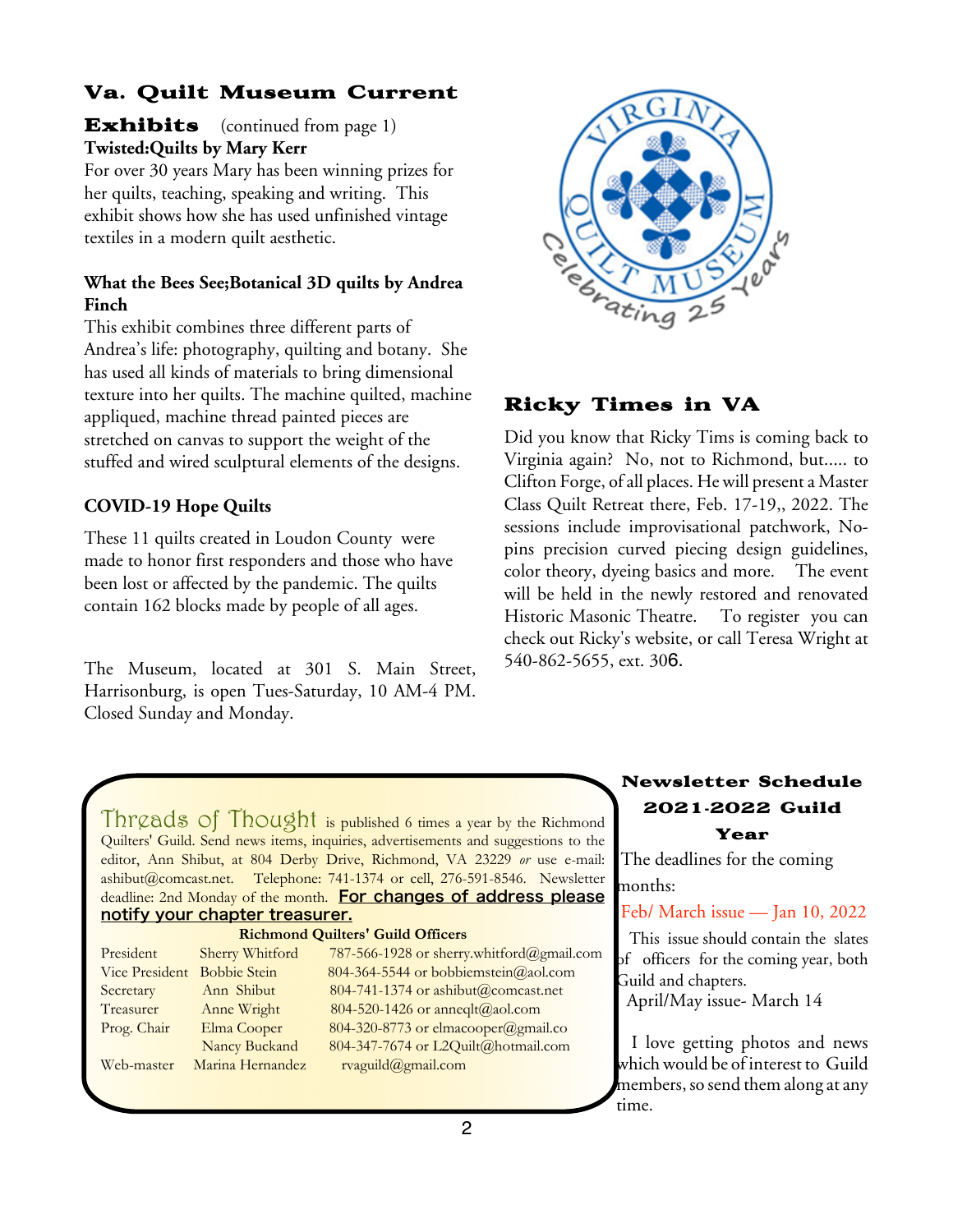## Va. Quilt Museum Current

**Exhibits** (continued from page 1) **Twisted:Quilts by Mary Kerr**

For over 30 years Mary has been winning prizes for her quilts, teaching, speaking and writing. This exhibit shows how she has used unfinished vintage textiles in a modern quilt aesthetic.

### **What the Bees See;Botanical 3D quilts by Andrea Finch**

This exhibit combines three different parts of Andrea's life: photography, quilting and botany. She has used all kinds of materials to bring dimensional texture into her quilts. The machine quilted, machine appliqued, machine thread painted pieces are stretched on canvas to support the weight of the stuffed and wired sculptural elements of the designs.

### **COVID-19 Hope Quilts**

These 11 quilts created in Loudon County were made to honor first responders and those who have been lost or affected by the pandemic. The quilts contain 162 blocks made by people of all ages.

The Museum, located at 301 S. Main Street, Harrisonburg, is open Tues-Saturday, 10 AM-4 PM. Closed Sunday and Monday.



### Ricky Times in VA

Did you know that Ricky Tims is coming back to Virginia again? No, not to Richmond, but..... to Clifton Forge, of all places. He will present a Master Class Quilt Retreat there, Feb. 17-19,, 2022. The sessions include improvisational patchwork, Nopins precision curved piecing design guidelines, color theory, dyeing basics and more. The event will be held in the newly restored and renovated Historic Masonic Theatre. To register you can check out Ricky's website, or call Teresa Wright at 540-862-5655, ext. 306.

Threads of Thought is published 6 times a year by the Richmond Quilters' Guild. Send news items, inquiries, advertisements and suggestions to the editor, Ann Shibut, at 804 Derby Drive, Richmond, VA 23229 *or* use e-mail: ashibut@comcast.net. Telephone: 741-1374 or cell, 276-591-8546. Newsletter deadline: 2nd Monday of the month. For changes of address please notify your chapter treasurer.

#### **Richmond Quilters' Guild Officers** President Sherry Whitford 787-566-1928 or sherry.whitford@gmail.com Vice President Bobbie Stein 804-364-5544 or bobbiemstein@aol.com Secretary Ann Shibut 804-741-1374 or ashibut@comcast.net Treasurer Anne Wright 804-520-1426 or anneqlt@aol.com Prog. Chair Elma Cooper 804-320-8773 or elmacooper@gmail.co Nancy Buckand 804-347-7674 or L2Quilt@hotmail.com Web-master Marina Hernandez rvaguild@gmail.com

## Newsletter Schedule 2021**-**2022 Guild

### Year

The deadlines for the coming months:

Feb/ March issue — Jan 10, 2022

This issue should contain the slates of officers for the coming year, both Guild and chapters.

April/May issue- March 14

I love getting photos and news which would be of interest to Guild members, so send them along at any time.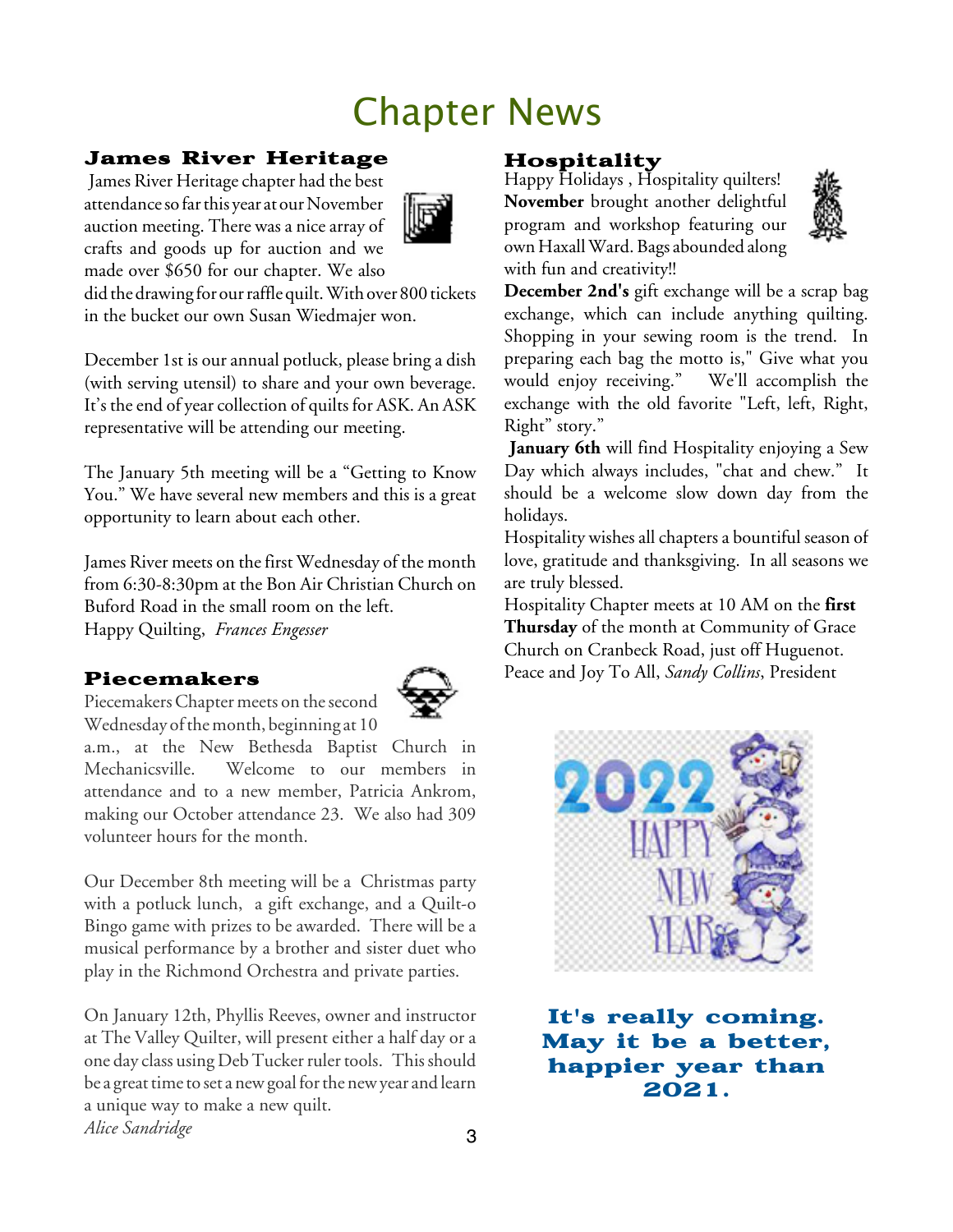# Chapter News

## James River Heritage

James River Heritage chapter had the best attendance so far this year at our November auction meeting. There was a nice array of crafts and goods up for auction and we made over \$650 for our chapter. We also



did the drawing for our raffle quilt. With over 800 tickets in the bucket our own Susan Wiedmajer won.

December 1st is our annual potluck, please bring a dish (with serving utensil) to share and your own beverage. It's the end of year collection of quilts for ASK. An ASK representative will be attending our meeting.

The January 5th meeting will be a "Getting to Know You." We have several new members and this is a great opportunity to learn about each other.

James River meets on the first Wednesday of the month from 6:30-8:30pm at the Bon Air Christian Church on Buford Road in the small room on the left. Happy Quilting, *Frances Engesser*

## Piecemakers



Piecemakers Chapter meets on the second Wednesday of the month, beginning at 10

a.m., at the New Bethesda Baptist Church in Mechanicsville. Welcome to our members in attendance and to a new member, Patricia Ankrom, making our October attendance 23. We also had 309 volunteer hours for the month.

Our December 8th meeting will be a Christmas party with a potluck lunch, a gift exchange, and a Quilt-o Bingo game with prizes to be awarded. There will be a musical performance by a brother and sister duet who play in the Richmond Orchestra and private parties.

3 On January 12th, Phyllis Reeves, owner and instructor at The Valley Quilter, will present either a half day or a one day class using Deb Tucker ruler tools. This should be a great time to set a new goal for the new year and learn a unique way to make a new quilt. *Alice Sandridge*

## Hospitality

Happy Holidays , Hospitality quilters! **November** brought another delightful program and workshop featuring our own Haxall Ward. Bags abounded along with fun and creativity!!



**December 2nd's** gift exchange will be a scrap bag exchange, which can include anything quilting. Shopping in your sewing room is the trend. In preparing each bag the motto is," Give what you would enjoy receiving." We'll accomplish the exchange with the old favorite "Left, left, Right, Right" story."

**January 6th** will find Hospitality enjoying a Sew Day which always includes, "chat and chew." It should be a welcome slow down day from the holidays.

Hospitality wishes all chapters a bountiful season of love, gratitude and thanksgiving. In all seasons we are truly blessed.

Hospitality Chapter meets at 10 AM on the **first Thursday** of the month at Community of Grace Church on Cranbeck Road, just off Huguenot. Peace and Joy To All, *Sandy Collins*, President



It's really coming. May it be a better, happier year than 2021.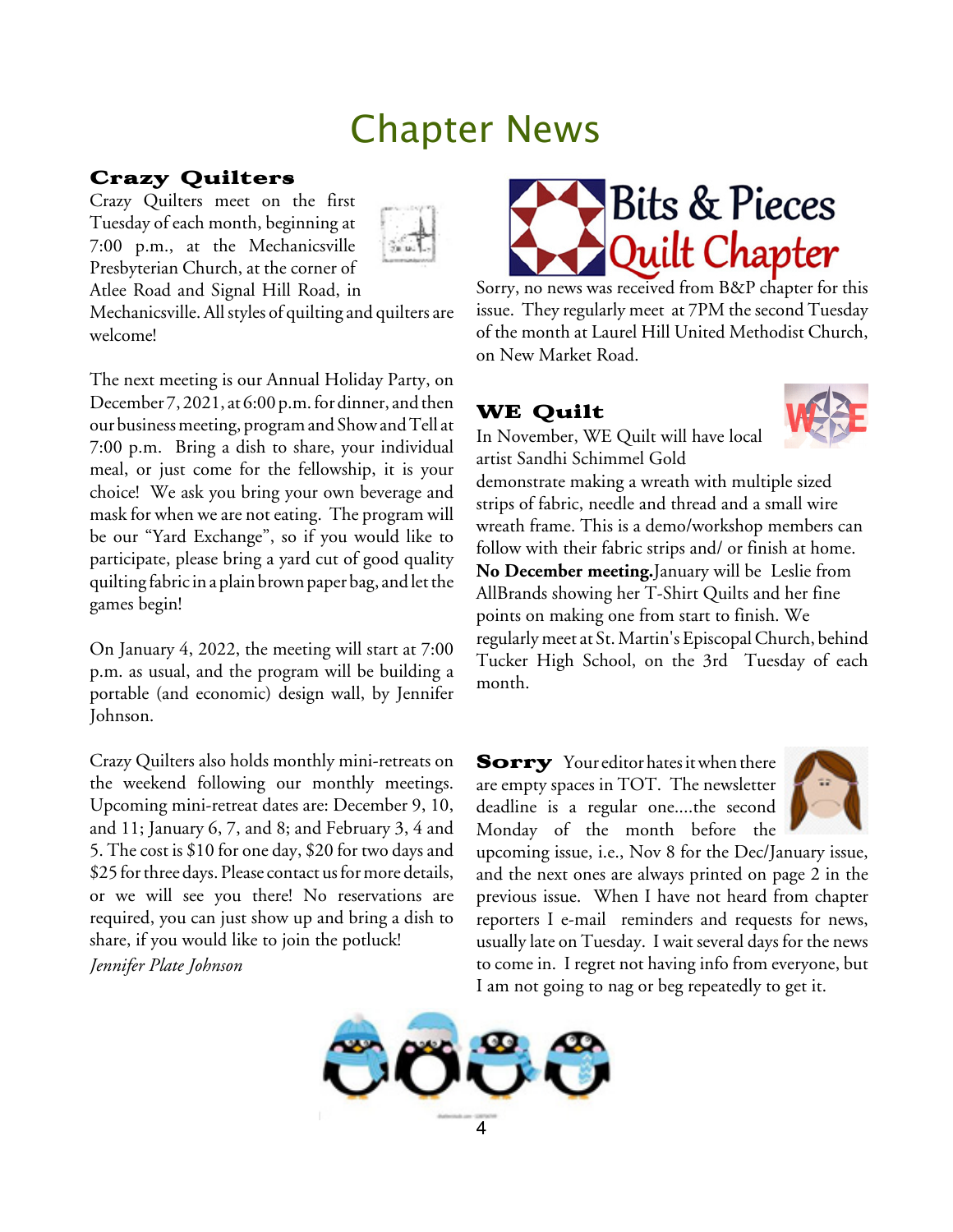## Chapter News

### Crazy Quilters

Crazy Quilters meet on the first Tuesday of each month, beginning at 7:00 p.m., at the Mechanicsville Presbyterian Church, at the corner of Atlee Road and Signal Hill Road, in



Mechanicsville. All styles of quilting and quilters are welcome!

The next meeting is our Annual Holiday Party, on December 7, 2021, at 6:00 p.m. for dinner, and then our business meeting, program and Show and Tell at 7:00 p.m. Bring a dish to share, your individual meal, or just come for the fellowship, it is your choice! We ask you bring your own beverage and mask for when we are not eating. The program will be our "Yard Exchange", so if you would like to participate, please bring a yard cut of good quality quilting fabric in a plain brown paper bag, and let the games begin!

On January 4, 2022, the meeting will start at 7:00 p.m. as usual, and the program will be building a portable (and economic) design wall, by Jennifer Johnson.

Crazy Quilters also holds monthly mini-retreats on the weekend following our monthly meetings. Upcoming mini-retreat dates are: December 9, 10, and 11; January 6, 7, and 8; and February 3, 4 and 5. The cost is \$10 for one day, \$20 for two days and \$25 for three days. Please contact us for more details, or we will see you there! No reservations are required, you can just show up and bring a dish to share, if you would like to join the potluck!

*Jennifer Plate Johnson*



Sorry, no news was received from B&P chapter for this issue. They regularly meet at 7PM the second Tuesday of the month at Laurel Hill United Methodist Church, on New Market Road.

## WE Quilt



In November, WE Quilt will have local artist Sandhi Schimmel Gold

demonstrate making a wreath with multiple sized strips of fabric, needle and thread and a small wire wreath frame. This is a demo/workshop members can follow with their fabric strips and/ or finish at home. **No December meeting.**January will be Leslie from AllBrands showing her T-Shirt Quilts and her fine points on making one from start to finish. We regularlymeet at St. Martin's EpiscopalChurch, behind Tucker High School, on the 3rd Tuesday of each month.

**Sorry** Your editor hates it when there are empty spaces in TOT. The newsletter deadline is a regular one....the second Monday of the month before the



upcoming issue, i.e., Nov 8 for the Dec/January issue, and the next ones are always printed on page 2 in the previous issue. When I have not heard from chapter reporters I e-mail reminders and requests for news, usually late on Tuesday. I wait several days for the news to come in. I regret not having info from everyone, but I am not going to nag or beg repeatedly to get it.

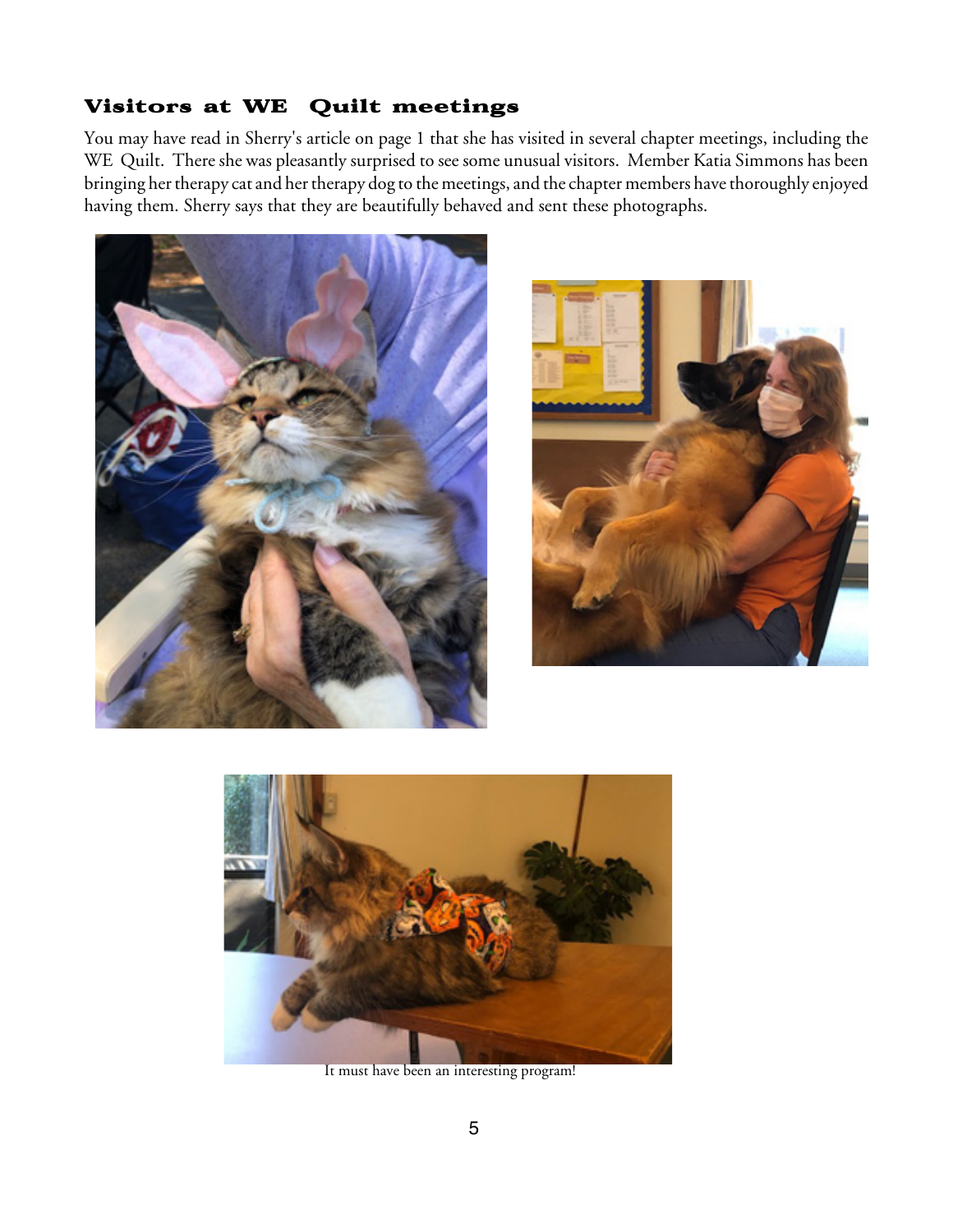### Visitors at WE Quilt meetings

You may have read in Sherry's article on page 1 that she has visited in several chapter meetings, including the WE Quilt. There she was pleasantly surprised to see some unusual visitors. Member Katia Simmons has been bringing her therapy cat and her therapy dog to the meetings, and the chapter members have thoroughly enjoyed having them. Sherry says that they are beautifully behaved and sent these photographs.







It must have been an interesting program!